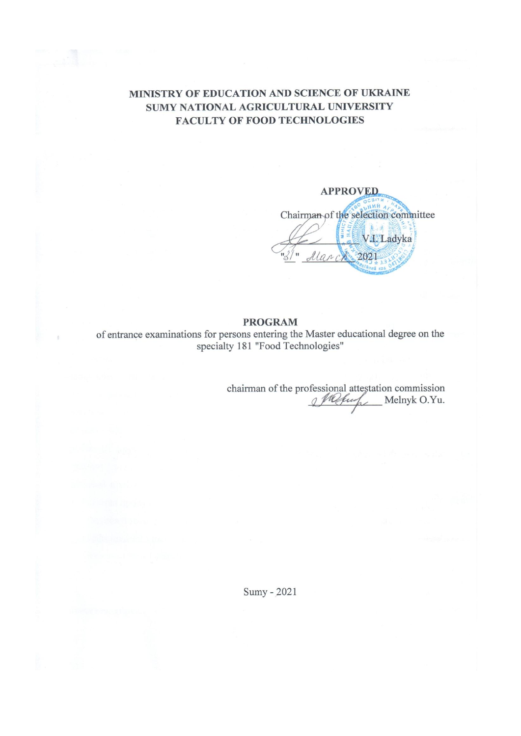## MINISTRY OF EDUCATION AND SCIENCE OF UKRAINE SUMY NATIONAL AGRICULTURAL UNIVERSITY **FACULTY OF FOOD TECHNOLOGIES**

**APPROVED** Chairman of the selection committee V.I. Ladyka March 2021

#### **PROGRAM**

of entrance examinations for persons entering the Master educational degree on the specialty 181 "Food Technologies"

chairman of the professional attestation commission<br> $\mathcal{L}$  Melnyk O.Yu.

Sumy - 2021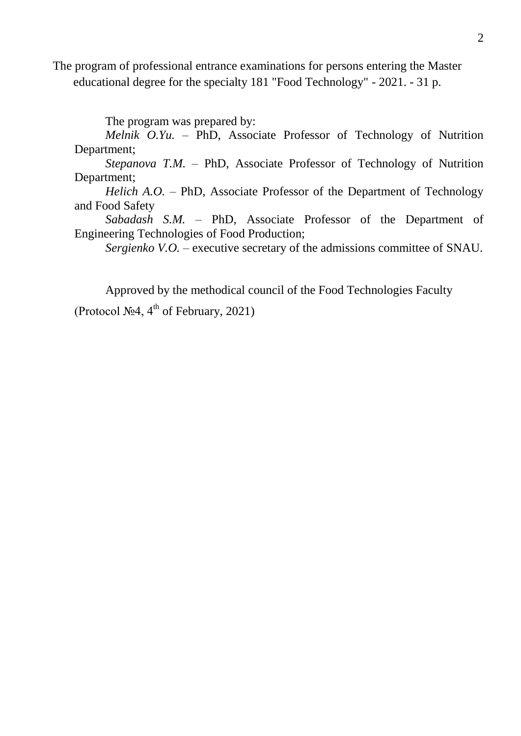The program of professional entrance examinations for persons entering the Master educational degree for the specialty 181 "Food Technology" - 2021. - 31 p.

The program was prepared by:

*Melnik O.Yu. –* PhD, Associate Professor of Technology of Nutrition Department;

*Stepanova T.M. –* PhD, Associate Professor of Technology of Nutrition Department;

*Helich A.O. –* PhD, Associate Professor of the Department of Technology and Food Safety

*Sabadash S.M. –* PhD, Associate Professor of the Department of Engineering Technologies of Food Production;

*Sergienko V.O.* – executive secretary of the admissions committee of SNAU.

Approved by the methodical council of the Food Technologies Faculty (Protocol  $\mathcal{N} \circ 4$ , 4<sup>th</sup> of February, 2021)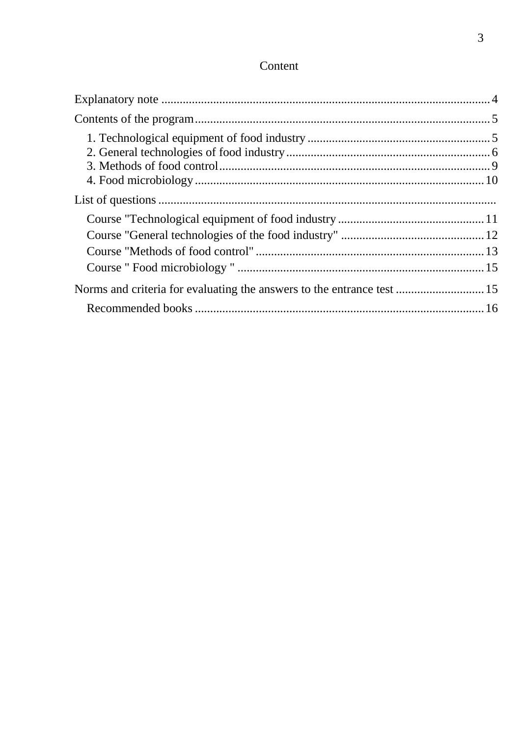# Content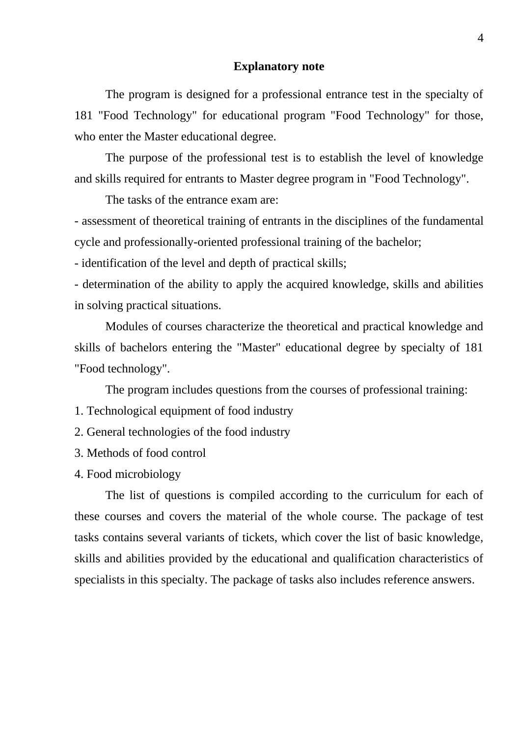#### **Explanatory note**

The program is designed for a professional entrance test in the specialty of 181 "Food Technology" for educational program "Food Technology" for those, who enter the Master educational degree.

The purpose of the professional test is to establish the level of knowledge and skills required for entrants to Master degree program in "Food Technology".

The tasks of the entrance exam are:

- assessment of theoretical training of entrants in the disciplines of the fundamental cycle and professionally-oriented professional training of the bachelor;

- identification of the level and depth of practical skills;

- determination of the ability to apply the acquired knowledge, skills and abilities in solving practical situations.

Modules of courses characterize the theoretical and practical knowledge and skills of bachelors entering the "Master" educational degree by specialty of 181 "Food technology".

The program includes questions from the courses of professional training:

- 1. Technological equipment of food industry
- 2. General technologies of the food industry
- 3. Methods of food control
- 4. Food microbiology

The list of questions is compiled according to the curriculum for each of these courses and covers the material of the whole course. The package of test tasks contains several variants of tickets, which cover the list of basic knowledge, skills and abilities provided by the educational and qualification characteristics of specialists in this specialty. The package of tasks also includes reference answers.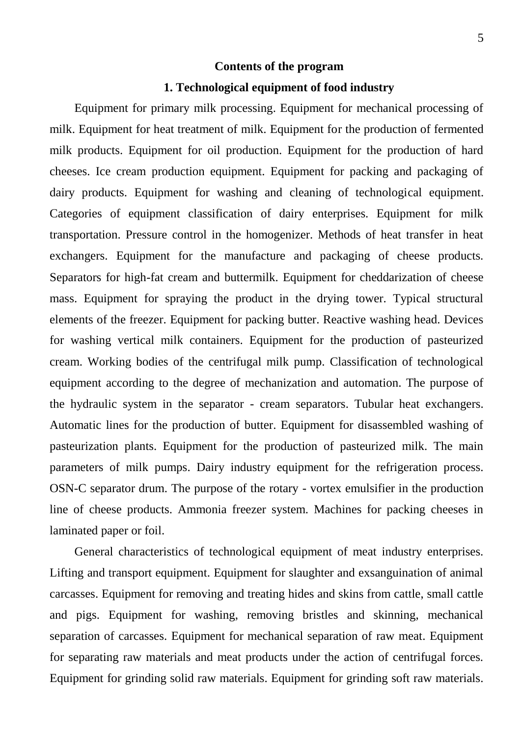## **Contents of the program**

## **1. Technological equipment of food industry**

Equipment for primary milk processing. Equipment for mechanical processing of milk. Equipment for heat treatment of milk. Equipment for the production of fermented milk products. Equipment for oil production. Equipment for the production of hard cheeses. Ice cream production equipment. Equipment for packing and packaging of dairy products. Equipment for washing and cleaning of technological equipment. Categories of equipment classification of dairy enterprises. Equipment for milk transportation. Pressure control in the homogenizer. Methods of heat transfer in heat exchangers. Equipment for the manufacture and packaging of cheese products. Separators for high-fat cream and buttermilk. Equipment for cheddarization of cheese mass. Equipment for spraying the product in the drying tower. Typical structural elements of the freezer. Equipment for packing butter. Reactive washing head. Devices for washing vertical milk containers. Equipment for the production of pasteurized cream. Working bodies of the centrifugal milk pump. Classification of technological equipment according to the degree of mechanization and automation. The purpose of the hydraulic system in the separator - cream separators. Tubular heat exchangers. Automatic lines for the production of butter. Equipment for disassembled washing of pasteurization plants. Equipment for the production of pasteurized milk. The main parameters of milk pumps. Dairy industry equipment for the refrigeration process. OSN-C separator drum. The purpose of the rotary - vortex emulsifier in the production line of cheese products. Ammonia freezer system. Machines for packing cheeses in laminated paper or foil.

General characteristics of technological equipment of meat industry enterprises. Lifting and transport equipment. Equipment for slaughter and exsanguination of animal carcasses. Equipment for removing and treating hides and skins from cattle, small cattle and pigs. Equipment for washing, removing bristles and skinning, mechanical separation of carcasses. Equipment for mechanical separation of raw meat. Equipment for separating raw materials and meat products under the action of centrifugal forces. Equipment for grinding solid raw materials. Equipment for grinding soft raw materials.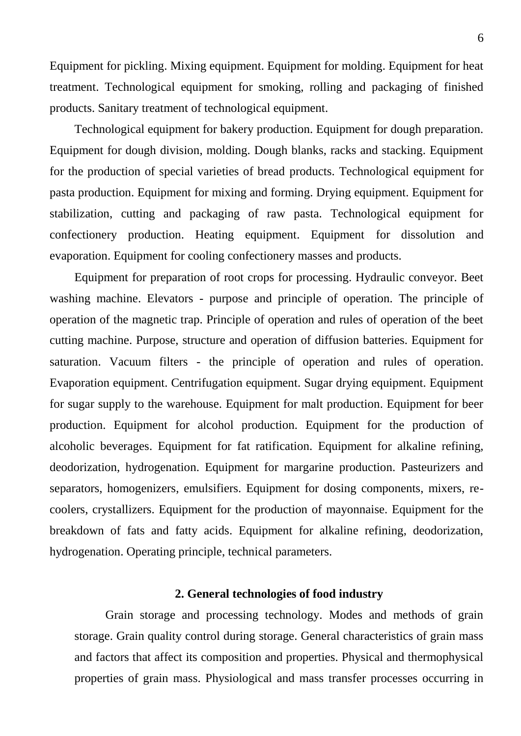Equipment for pickling. Mixing equipment. Equipment for molding. Equipment for heat treatment. Technological equipment for smoking, rolling and packaging of finished products. Sanitary treatment of technological equipment.

Technological equipment for bakery production. Equipment for dough preparation. Equipment for dough division, molding. Dough blanks, racks and stacking. Equipment for the production of special varieties of bread products. Technological equipment for pasta production. Equipment for mixing and forming. Drying equipment. Equipment for stabilization, cutting and packaging of raw pasta. Technological equipment for confectionery production. Heating equipment. Equipment for dissolution and evaporation. Equipment for cooling confectionery masses and products.

Equipment for preparation of root crops for processing. Hydraulic conveyor. Beet washing machine. Elevators - purpose and principle of operation. The principle of operation of the magnetic trap. Principle of operation and rules of operation of the beet cutting machine. Purpose, structure and operation of diffusion batteries. Equipment for saturation. Vacuum filters - the principle of operation and rules of operation. Evaporation equipment. Centrifugation equipment. Sugar drying equipment. Equipment for sugar supply to the warehouse. Equipment for malt production. Equipment for beer production. Equipment for alcohol production. Equipment for the production of alcoholic beverages. Equipment for fat ratification. Equipment for alkaline refining, deodorization, hydrogenation. Equipment for margarine production. Pasteurizers and separators, homogenizers, emulsifiers. Equipment for dosing components, mixers, recoolers, crystallizers. Equipment for the production of mayonnaise. Equipment for the breakdown of fats and fatty acids. Equipment for alkaline refining, deodorization, hydrogenation. Operating principle, technical parameters.

## **2. General technologies of food industry**

Grain storage and processing technology. Modes and methods of grain storage. Grain quality control during storage. General characteristics of grain mass and factors that affect its composition and properties. Physical and thermophysical properties of grain mass. Physiological and mass transfer processes occurring in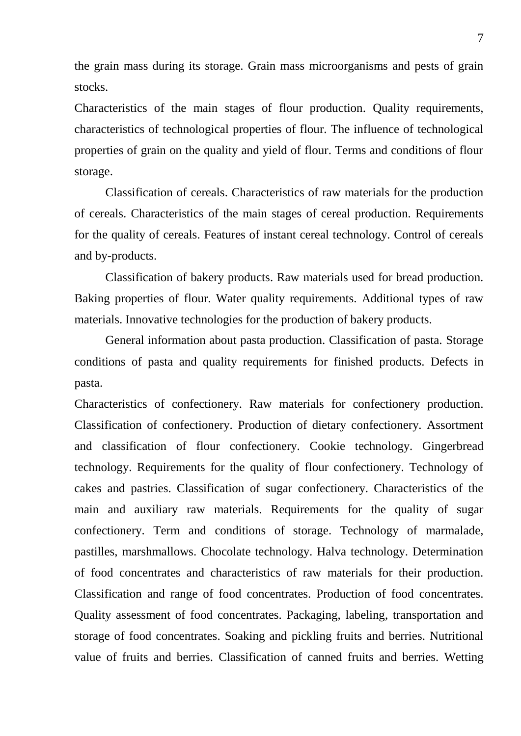the grain mass during its storage. Grain mass microorganisms and pests of grain stocks.

Characteristics of the main stages of flour production. Quality requirements, characteristics of technological properties of flour. The influence of technological properties of grain on the quality and yield of flour. Terms and conditions of flour storage.

Classification of cereals. Characteristics of raw materials for the production of cereals. Characteristics of the main stages of cereal production. Requirements for the quality of cereals. Features of instant cereal technology. Control of cereals and by-products.

Classification of bakery products. Raw materials used for bread production. Baking properties of flour. Water quality requirements. Additional types of raw materials. Innovative technologies for the production of bakery products.

General information about pasta production. Classification of pasta. Storage conditions of pasta and quality requirements for finished products. Defects in pasta.

Characteristics of confectionery. Raw materials for confectionery production. Classification of confectionery. Production of dietary confectionery. Assortment and classification of flour confectionery. Cookie technology. Gingerbread technology. Requirements for the quality of flour confectionery. Technology of cakes and pastries. Classification of sugar confectionery. Characteristics of the main and auxiliary raw materials. Requirements for the quality of sugar confectionery. Term and conditions of storage. Technology of marmalade, pastilles, marshmallows. Chocolate technology. Halva technology. Determination of food concentrates and characteristics of raw materials for their production. Classification and range of food concentrates. Production of food concentrates. Quality assessment of food concentrates. Packaging, labeling, transportation and storage of food concentrates. Soaking and pickling fruits and berries. Nutritional value of fruits and berries. Classification of canned fruits and berries. Wetting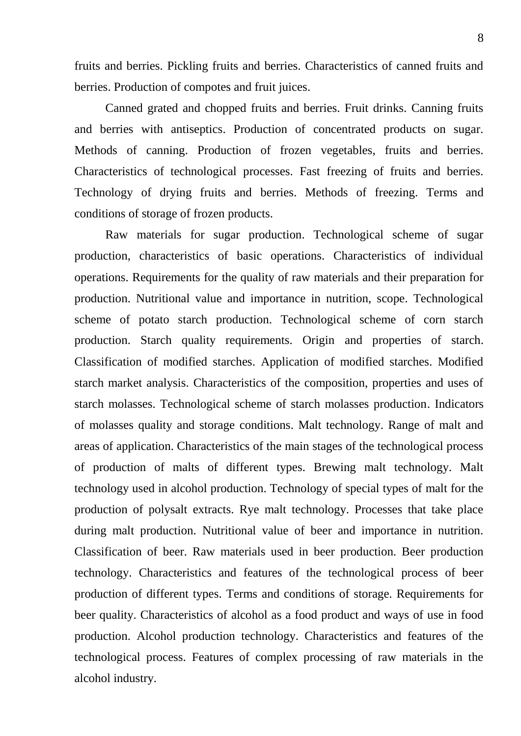fruits and berries. Pickling fruits and berries. Characteristics of canned fruits and berries. Production of compotes and fruit juices.

Canned grated and chopped fruits and berries. Fruit drinks. Canning fruits and berries with antiseptics. Production of concentrated products on sugar. Methods of canning. Production of frozen vegetables, fruits and berries. Characteristics of technological processes. Fast freezing of fruits and berries. Technology of drying fruits and berries. Methods of freezing. Terms and conditions of storage of frozen products.

Raw materials for sugar production. Technological scheme of sugar production, characteristics of basic operations. Characteristics of individual operations. Requirements for the quality of raw materials and their preparation for production. Nutritional value and importance in nutrition, scope. Technological scheme of potato starch production. Technological scheme of corn starch production. Starch quality requirements. Origin and properties of starch. Classification of modified starches. Application of modified starches. Modified starch market analysis. Characteristics of the composition, properties and uses of starch molasses. Technological scheme of starch molasses production. Indicators of molasses quality and storage conditions. Malt technology. Range of malt and areas of application. Characteristics of the main stages of the technological process of production of malts of different types. Brewing malt technology. Malt technology used in alcohol production. Technology of special types of malt for the production of polysalt extracts. Rye malt technology. Processes that take place during malt production. Nutritional value of beer and importance in nutrition. Classification of beer. Raw materials used in beer production. Beer production technology. Characteristics and features of the technological process of beer production of different types. Terms and conditions of storage. Requirements for beer quality. Characteristics of alcohol as a food product and ways of use in food production. Alcohol production technology. Characteristics and features of the technological process. Features of complex processing of raw materials in the alcohol industry.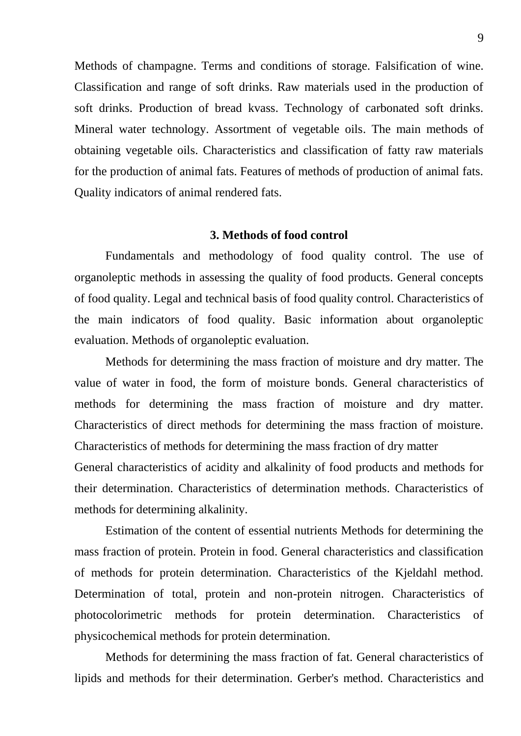Methods of champagne. Terms and conditions of storage. Falsification of wine. Classification and range of soft drinks. Raw materials used in the production of soft drinks. Production of bread kvass. Technology of carbonated soft drinks. Mineral water technology. Assortment of vegetable oils. The main methods of obtaining vegetable oils. Characteristics and classification of fatty raw materials for the production of animal fats. Features of methods of production of animal fats. Quality indicators of animal rendered fats.

## **3. Methods of food control**

Fundamentals and methodology of food quality control. The use of organoleptic methods in assessing the quality of food products. General concepts of food quality. Legal and technical basis of food quality control. Characteristics of the main indicators of food quality. Basic information about organoleptic evaluation. Methods of organoleptic evaluation.

Methods for determining the mass fraction of moisture and dry matter. The value of water in food, the form of moisture bonds. General characteristics of methods for determining the mass fraction of moisture and dry matter. Characteristics of direct methods for determining the mass fraction of moisture. Characteristics of methods for determining the mass fraction of dry matter General characteristics of acidity and alkalinity of food products and methods for their determination. Characteristics of determination methods. Characteristics of methods for determining alkalinity.

Estimation of the content of essential nutrients Methods for determining the mass fraction of protein. Protein in food. General characteristics and classification of methods for protein determination. Characteristics of the Kjeldahl method. Determination of total, protein and non-protein nitrogen. Characteristics of photocolorimetric methods for protein determination. Characteristics of physicochemical methods for protein determination.

Methods for determining the mass fraction of fat. General characteristics of lipids and methods for their determination. Gerber's method. Characteristics and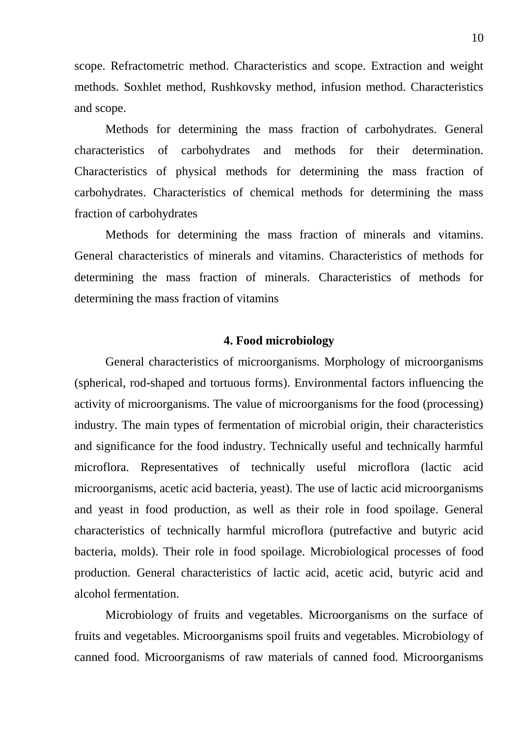scope. Refractometric method. Characteristics and scope. Extraction and weight methods. Soxhlet method, Rushkovsky method, infusion method. Characteristics and scope.

Methods for determining the mass fraction of carbohydrates. General characteristics of carbohydrates and methods for their determination. Characteristics of physical methods for determining the mass fraction of carbohydrates. Characteristics of chemical methods for determining the mass fraction of carbohydrates

Methods for determining the mass fraction of minerals and vitamins. General characteristics of minerals and vitamins. Characteristics of methods for determining the mass fraction of minerals. Characteristics of methods for determining the mass fraction of vitamins

## **4. Food microbiology**

General characteristics of microorganisms. Morphology of microorganisms (spherical, rod-shaped and tortuous forms). Environmental factors influencing the activity of microorganisms. The value of microorganisms for the food (processing) industry. The main types of fermentation of microbial origin, their characteristics and significance for the food industry. Technically useful and technically harmful microflora. Representatives of technically useful microflora (lactic acid microorganisms, acetic acid bacteria, yeast). The use of lactic acid microorganisms and yeast in food production, as well as their role in food spoilage. General characteristics of technically harmful microflora (putrefactive and butyric acid bacteria, molds). Their role in food spoilage. Microbiological processes of food production. General characteristics of lactic acid, acetic acid, butyric acid and alcohol fermentation.

Microbiology of fruits and vegetables. Microorganisms on the surface of fruits and vegetables. Microorganisms spoil fruits and vegetables. Microbiology of canned food. Microorganisms of raw materials of canned food. Microorganisms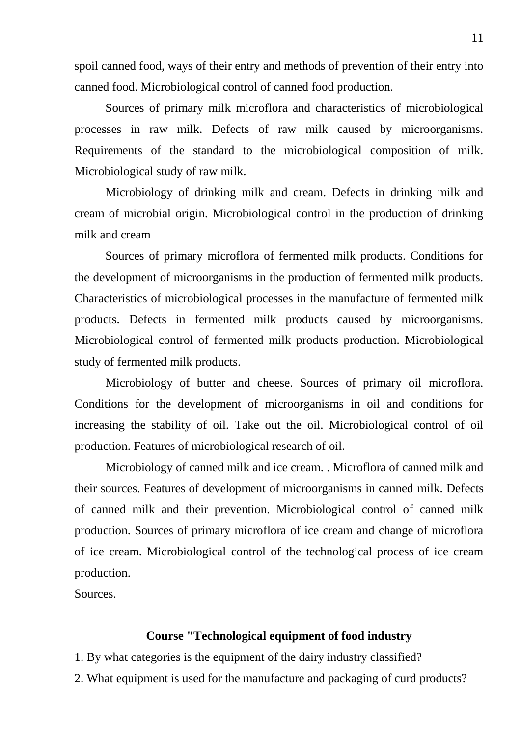spoil canned food, ways of their entry and methods of prevention of their entry into canned food. Microbiological control of canned food production.

Sources of primary milk microflora and characteristics of microbiological processes in raw milk. Defects of raw milk caused by microorganisms. Requirements of the standard to the microbiological composition of milk. Microbiological study of raw milk.

Microbiology of drinking milk and cream. Defects in drinking milk and cream of microbial origin. Microbiological control in the production of drinking milk and cream

Sources of primary microflora of fermented milk products. Conditions for the development of microorganisms in the production of fermented milk products. Characteristics of microbiological processes in the manufacture of fermented milk products. Defects in fermented milk products caused by microorganisms. Microbiological control of fermented milk products production. Microbiological study of fermented milk products.

Microbiology of butter and cheese. Sources of primary oil microflora. Conditions for the development of microorganisms in oil and conditions for increasing the stability of oil. Take out the oil. Microbiological control of oil production. Features of microbiological research of oil.

Microbiology of canned milk and ice cream. . Microflora of canned milk and their sources. Features of development of microorganisms in canned milk. Defects of canned milk and their prevention. Microbiological control of canned milk production. Sources of primary microflora of ice cream and change of microflora of ice cream. Microbiological control of the technological process of ice cream production.

Sources.

## **Course "Technological equipment of food industry**

- 1. By what categories is the equipment of the dairy industry classified?
- 2. What equipment is used for the manufacture and packaging of curd products?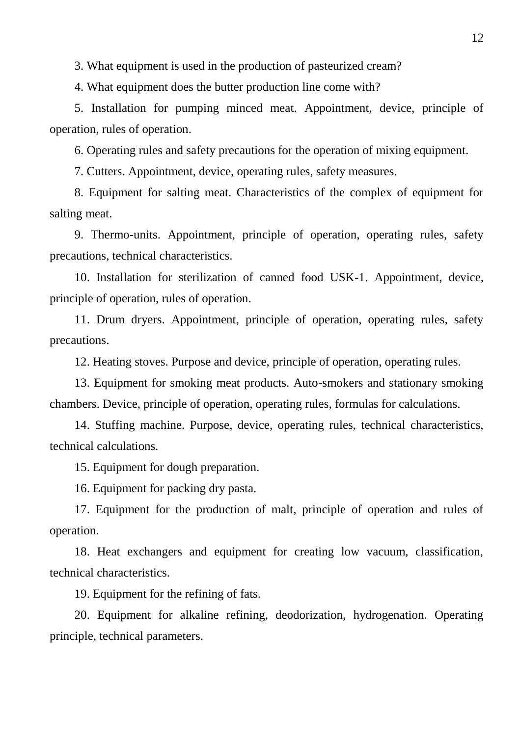3. What equipment is used in the production of pasteurized cream?

4. What equipment does the butter production line come with?

5. Installation for pumping minced meat. Appointment, device, principle of operation, rules of operation.

6. Operating rules and safety precautions for the operation of mixing equipment.

7. Cutters. Appointment, device, operating rules, safety measures.

8. Equipment for salting meat. Characteristics of the complex of equipment for salting meat.

9. Thermo-units. Appointment, principle of operation, operating rules, safety precautions, technical characteristics.

10. Installation for sterilization of canned food USK-1. Appointment, device, principle of operation, rules of operation.

11. Drum dryers. Appointment, principle of operation, operating rules, safety precautions.

12. Heating stoves. Purpose and device, principle of operation, operating rules.

13. Equipment for smoking meat products. Auto-smokers and stationary smoking chambers. Device, principle of operation, operating rules, formulas for calculations.

14. Stuffing machine. Purpose, device, operating rules, technical characteristics, technical calculations.

15. Equipment for dough preparation.

16. Equipment for packing dry pasta.

17. Equipment for the production of malt, principle of operation and rules of operation.

18. Heat exchangers and equipment for creating low vacuum, classification, technical characteristics.

19. Equipment for the refining of fats.

20. Equipment for alkaline refining, deodorization, hydrogenation. Operating principle, technical parameters.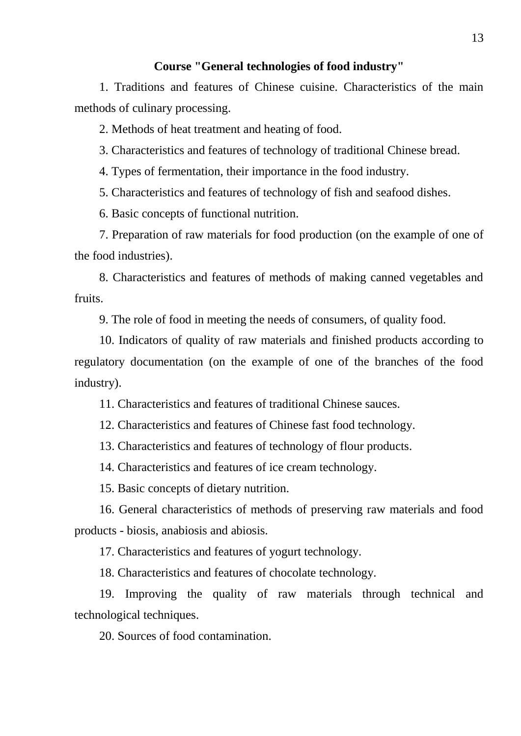# **Course "General technologies of food industry"**

1. Traditions and features of Chinese cuisine. Characteristics of the main methods of culinary processing.

2. Methods of heat treatment and heating of food.

3. Characteristics and features of technology of traditional Chinese bread.

4. Types of fermentation, their importance in the food industry.

5. Characteristics and features of technology of fish and seafood dishes.

6. Basic concepts of functional nutrition.

7. Preparation of raw materials for food production (on the example of one of the food industries).

8. Characteristics and features of methods of making canned vegetables and fruits.

9. The role of food in meeting the needs of consumers, of quality food.

10. Indicators of quality of raw materials and finished products according to regulatory documentation (on the example of one of the branches of the food industry).

11. Characteristics and features of traditional Chinese sauces.

12. Characteristics and features of Chinese fast food technology.

13. Characteristics and features of technology of flour products.

14. Characteristics and features of ice cream technology.

15. Basic concepts of dietary nutrition.

16. General characteristics of methods of preserving raw materials and food products - biosis, anabiosis and abiosis.

17. Characteristics and features of yogurt technology.

18. Characteristics and features of chocolate technology.

19. Improving the quality of raw materials through technical and technological techniques.

20. Sources of food contamination.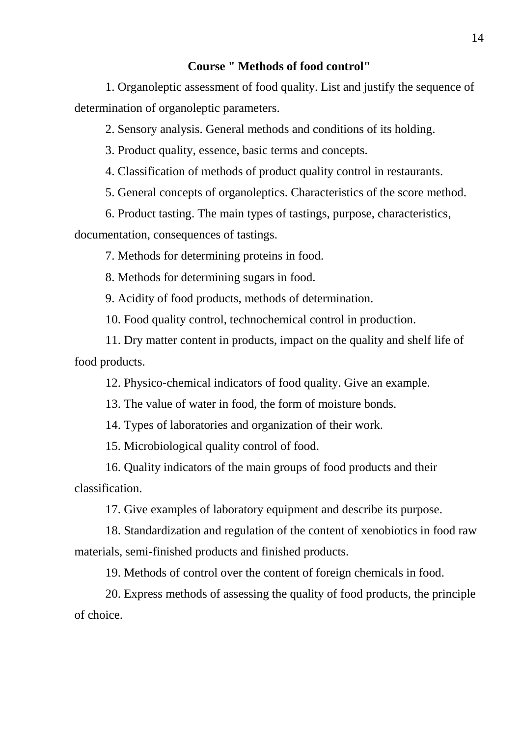# **Course " Methods of food control"**

1. Organoleptic assessment of food quality. List and justify the sequence of determination of organoleptic parameters.

2. Sensory analysis. General methods and conditions of its holding.

3. Product quality, essence, basic terms and concepts.

4. Classification of methods of product quality control in restaurants.

5. General concepts of organoleptics. Characteristics of the score method.

6. Product tasting. The main types of tastings, purpose, characteristics,

documentation, consequences of tastings.

7. Methods for determining proteins in food.

8. Methods for determining sugars in food.

9. Acidity of food products, methods of determination.

10. Food quality control, technochemical control in production.

11. Dry matter content in products, impact on the quality and shelf life of food products.

12. Physico-chemical indicators of food quality. Give an example.

13. The value of water in food, the form of moisture bonds.

14. Types of laboratories and organization of their work.

15. Microbiological quality control of food.

16. Quality indicators of the main groups of food products and their classification.

17. Give examples of laboratory equipment and describe its purpose.

18. Standardization and regulation of the content of xenobiotics in food raw materials, semi-finished products and finished products.

19. Methods of control over the content of foreign chemicals in food.

20. Express methods of assessing the quality of food products, the principle of choice.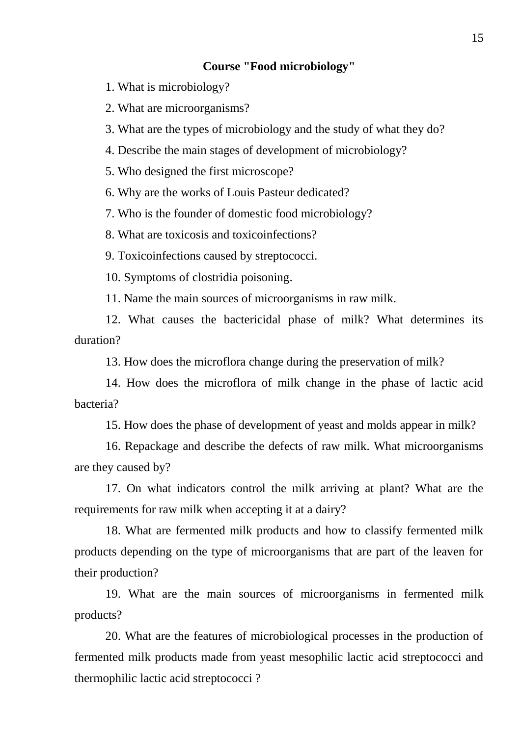# **Course "Food microbiology"**

1. What is microbiology?

2. What are microorganisms?

3. What are the types of microbiology and the study of what they do?

4. Describe the main stages of development of microbiology?

5. Who designed the first microscope?

6. Why are the works of Louis Pasteur dedicated?

7. Who is the founder of domestic food microbiology?

8. What are toxicosis and toxicoinfections?

9. Toxicoinfections caused by streptococci.

10. Symptoms of clostridia poisoning.

11. Name the main sources of microorganisms in raw milk.

12. What causes the bactericidal phase of milk? What determines its duration?

13. How does the microflora change during the preservation of milk?

14. How does the microflora of milk change in the phase of lactic acid bacteria?

15. How does the phase of development of yeast and molds appear in milk?

16. Repackage and describe the defects of raw milk. What microorganisms are they caused by?

17. On what indicators control the milk arriving at plant? What are the requirements for raw milk when accepting it at a dairy?

18. What are fermented milk products and how to classify fermented milk products depending on the type of microorganisms that are part of the leaven for their production?

19. What are the main sources of microorganisms in fermented milk products?

20. What are the features of microbiological processes in the production of fermented milk products made from yeast mesophilic lactic acid streptococci and thermophilic lactic acid streptococci ?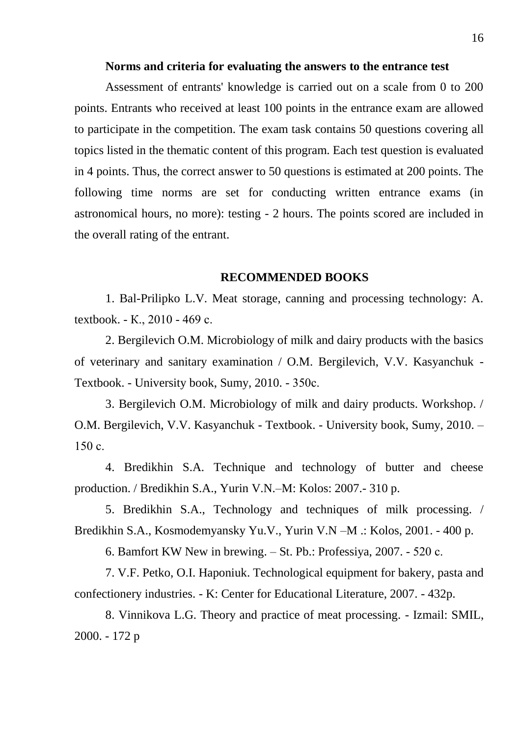#### **Norms and criteria for evaluating the answers to the entrance test**

Assessment of entrants' knowledge is carried out on a scale from 0 to 200 points. Entrants who received at least 100 points in the entrance exam are allowed to participate in the competition. The exam task contains 50 questions covering all topics listed in the thematic content of this program. Each test question is evaluated in 4 points. Thus, the correct answer to 50 questions is estimated at 200 points. The following time norms are set for conducting written entrance exams (in astronomical hours, no more): testing - 2 hours. The points scored are included in the overall rating of the entrant.

#### **RECOMMENDED BOOKS**

1. Bal-Prilipko L.V. Meat storage, canning and processing technology: A. textbook. - К., 2010 - 469 с.

2. Bergilevich O.M. Microbiology of milk and dairy products with the basics of veterinary and sanitary examination / O.M. Bergilevich, V.V. Kasyanchuk - Textbook. - University book, Sumy, 2010. - 350с.

3. Bergilevich O.M. Microbiology of milk and dairy products. Workshop. / O.M. Bergilevich, V.V. Kasyanchuk - Textbook. - University book, Sumy, 2010. – 150 с.

4. Bredikhin S.A. Technique and technology of butter and cheese production. / Bredikhin S.A., Yurin V.N.–M: Kolos: 2007.- 310 p.

5. Bredikhin S.A., Technology and techniques of milk processing. / Bredikhin S.A., Kosmodemyansky Yu.V., Yurin V.N –M .: Kolos, 2001. - 400 p.

6. Bamfort KW New in brewing. – St. Pb.: Professiya, 2007. - 520 с.

7. V.F. Petko, O.I. Haponiuk. Technological equipment for bakery, pasta and confectionery industries. - K: Center for Educational Literature, 2007. - 432p.

8. Vinnikova L.G. Theory and practice of meat processing. - Izmail: SMIL, 2000. - 172 p